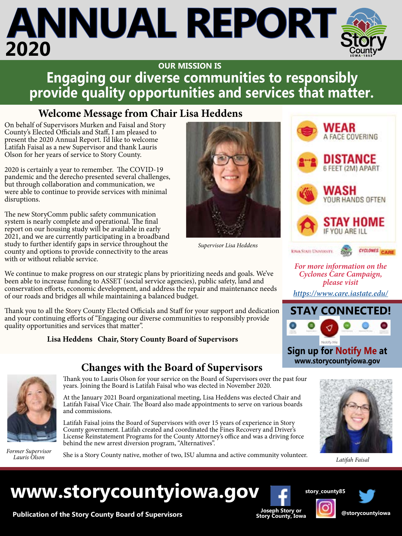### **Engaging our diverse communities to responsibly provide quality opportunities and services that matter. OUR MISSION IS**

### **Welcome Message from Chair Lisa Heddens**

On behalf of Supervisors Murken and Faisal and Story County's Elected Officials and Staff, I am pleased to present the 2020 Annual Report. I'd like to welcome Latifah Faisal as a new Supervisor and thank Lauris Olson for her years of service to Story County.

2020 is certainly a year to remember. The COVID-19 pandemic and the derecho presented several challenges, but through collaboration and communication, we were able to continue to provide services with minimal disruptions.

The new StoryComm public safety communication system is nearly complete and operational. The final report on our housing study will be available in early 2021, and we are currently participating in a broadband study to further identify gaps in service throughout the county and options to provide connectivity to the areas with or without reliable service.

We continue to make progress on our strategic plans by prioritizing needs and goals. We've been able to increase funding to ASSET (social service agencies), public safety, land and conservation efforts, economic development, and address the repair and maintenance needs of our roads and bridges all while maintaining a balanced budget.

Thank you to all the Story County Elected Officials and Staff for your support and dedication and your continuing efforts of "Engaging our diverse communities to responsibly provide quality opportunities and services that matter".

### **Lisa Heddens Chair, Story County Board of Supervisors**

### **Changes with the Board of Supervisors**



*Lauris Olson*

Thank you to Lauris Olson for your service on the Board of Supervisors over the past four years. Joining the Board is Latifah Faisal who was elected in November 2020.

At the January 2021 Board organizational meeting, Lisa Heddens was elected Chair and Latifah Faisal Vice Chair. The Board also made appointments to serve on various boards and commissions.

Latifah Faisal joins the Board of Supervisors with over 15 years of experience in Story County government. Latifah created and coordinated the Fines Recovery and Driver's License Reinstatement Programs for the County Attorney's office and was a driving force behind the new arrest diversion program, "Alternatives".

She is a Story County native, mother of two, ISU alumna and active community volunteer. *Former Supervisor* 



*Supervisor Lisa Heddens*



*For more information on the Cyclones Care Campaign, please visit* 

*<https://www.care.iastate.edu/>*



**Sign up for Notify Me at www.storycountyiowa.gov**



*Latifah Faisal*

### **www.storycountyiowa.gov**



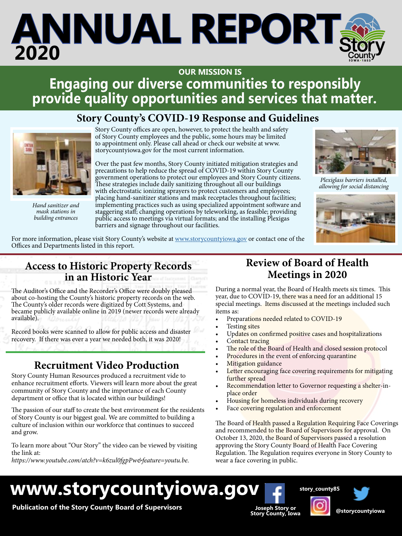#### <u>itice to vecnonsibly</u> **Repondice Control**<br>Leonices that matte **Engaging our diverse communities to responsibly provide quality opportunities and services that matter. OUR MISSION IS**

### **Story County's COVID-19 Response and Guidelines**



*Hand sanitizer and mask stations in building entrances*

Story County offices are open, however, to protect the health and safety of Story County employees and the public, some hours may be limited to appointment only. Please call ahead or check our website at www. storycountyiowa.gov for the most current information.

Over the past few months, Story County initiated mitigation strategies and precautions to help reduce the spread of COVID-19 within Story County government operations to protect our employees and Story County citizens. These strategies include daily sanitizing throughout all our buildings with electrostatic ionizing sprayers to protect customers and employees; placing hand-sanitizer stations and mask receptacles throughout facilities; implementing practices such as using specialized appointment software and staggering staff; changing operations by teleworking, as feasible; providing public access to meetings via virtual formats; and the installing Plexigas barriers and signage throughout our facilities.



*Plexiglass barriers installed, allowing for social distancing*



For more information, please visit Story County's website at [www.storycountyiowa.gov](http://www.storycountyiowa.gov) or contact one of the Offices and Departments listed in this report.

### **Access to Historic Property Records in an Historic Year**

The Auditor's Office and the Recorder's Office were doubly pleased about co-hosting the County's historic property records on the web. The County's older records were digitized by Cott Systems, and became publicly available online in 2019 (newer records were already available).

Record books were scanned to allow for public access and disaster recovery. If there was ever a year we needed both, it was 2020!

### **Recruitment Video Production**

Story County Human Resources produced a recruitment vide to enhance recruitment efforts. Viewers will learn more about the great community of Story County and the importance of each County department or office that is located within our buildings!

The passion of our staff to create the best environment for the residents of Story County is our biggest goal. We are committed to building a culture of inclusion within our workforce that continues to succeed and grow.

To learn more about "Our Story" the video can be viewed by visiting the link at:

*https://www.youtube.com/atch?v=k6zul0fgpPw&feature=youtu.be.*

### **Review of Board of Health Meetings in 2020**

During a normal year, the Board of Health meets six times. This year, due to COVID-19, there was a need for an additional 15 special meetings. Items discussed at the meetings included such items as:

- Preparations needed related to COVID-19
- Testing sites
- Updates on confirmed positive cases and hospitalizations
- Contact tracing
- The role of the Board of Health and closed session protocol
- Procedures in the event of enforcing quarantine
- **Mitigation guidance**
- Letter encouraging face covering requirements for mitigating further spread
- Recommendation letter to Governor requesting a shelter-inplace order
- Housing for homeless individuals during recovery
- Face covering regulation and enforcement

The Board of Health passed a Regulation Requiring Face Coverings and recommended to the Board of Supervisors for approval. On October 13, 2020, the Board of Supervisors passed a resolution approving the Story County Board of Health Face Covering Regulation. The Regulation requires everyone in Story County to wear a face covering in public.

**story\_county85**

### **www.storycountyiowa.gov**

**Publication of the Story County Board of Supervisors**

**Joseph Story or Story County, Iowa @storycountyiowa**

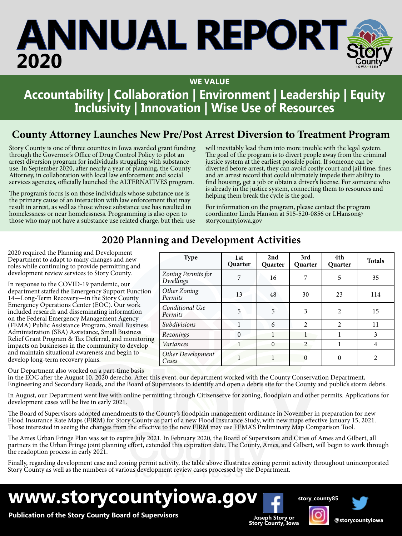**WE VALUE**

### **Accountability | Collaboration | Environment | Leadership | Equity Inclusivity | Innovation | Wise Use of Resources**

### **County Attorney Launches New Pre/Post Arrest Diversion to Treatment Program**

Story County is one of three counties in Iowa awarded grant funding through the Governor's Office of Drug Control Policy to pilot an arrest diversion program for individuals struggling with substance use. In September 2020, after nearly a year of planning, the County Attorney, in collaboration with local law enforcement and social services agencies, officially launched the ALTERNATIVES program.

The program's focus is on those individuals whose substance use is the primary cause of an interaction with law enforcement that may result in arrest, as well as those whose substance use has resulted in homelessness or near homelessness. Programming is also open to those who may not have a substance use related charge, but their use will inevitably lead them into more trouble with the legal system. The goal of the program is to divert people away from the criminal justice system at the earliest possible point. If someone can be diverted before arrest, they can avoid costly court and jail time, fines and an arrest record that could ultimately impede their ability to find housing, get a job or obtain a driver's license. For someone who is already in the justice system, connecting them to resources and helping them break the cycle is the goal.

> **3rd Quarter**

**4th** 

**Quarter Totals**

For information on the program, please contact the program coordinator Linda Hanson at 515-520-0856 or LHanson@ storycountyiowa.gov

> **2nd Quarter**

*Dwellings* 7 7 16 7 5 35

*Permits* 13 13 48 30 23 114

### **2020 Planning and Development Activities**

*Zoning Permits for* 

*Other Zoning* 

Type 1st

**Quarter**

2020 required the Planning and Development Department to adapt to many changes and new roles while continuing to provide permitting and development review services to Story County.

In response to the COVID-19 pandemic, our department staffed the Emergency Support Function 14—Long-Term Recovery—in the Story County Emergency Operations Center (EOC). Our work included research and disseminating information on the Federal Emergency Management Agency (FEMA) Public Assistance Program, Small Business Administration (SBA) Assistance, Small Business Relief Grant Program & Tax Deferral, and monitoring impacts on businesses in the community to develop and maintain situational awareness and begin to develop long-term recovery plans.

#### Our Department also worked on a part-time basis

in the EOC after the August 10, 2020 derecho. After this event, our department worked with the County Conservation Department, Engineering and Secondary Roads, and the Board of Supervisors to identify and open a debris sit Engineering and Secondary Roads, and the Board of Super

In August, our Department went live with online permitting through Citizenserve for zoning, floodplain and other permits. Applications for development cases will be live in early 2021.

The Board of Supervisors adopted amendments to the County's floodplain management ordinance in November in preparation for new Flood Insurance Rate Maps (FIRM) for Story County as part of a new Flood Insurance Study, with new maps effective January 15, 2021. Those interested in seeing the changes from the effective to the new FIRM may use FEMA'S Preliminary Map Comparison Tool.

The Ames Urban Fringe Plan was set to expire July 2021. In February 2020, the Board of Supervisors and Cities of Ames and Gilbert, all partners in the Urban Fringe joint planning effort, extended this expiration date. The County, Ames, and Gilbert, will begin to work through the readoption process in early 2021.

Finally, regarding development case and zoning permit activity, the table above illustrates zoning permit activity throughout unincorporated Story County as well as the numbers of various development review cases processed by the Department.

**www.storycountyiowa.gov**



| Conditional Use<br>Permits                                                                                                                                                                                                                     | 5 | 5 |  | 15             |
|------------------------------------------------------------------------------------------------------------------------------------------------------------------------------------------------------------------------------------------------|---|---|--|----------------|
| Subdivisions                                                                                                                                                                                                                                   |   | 6 |  | 11             |
| Rezonings                                                                                                                                                                                                                                      |   |   |  | 3              |
| Variances                                                                                                                                                                                                                                      |   |   |  | 4              |
| Other Development<br>Cases                                                                                                                                                                                                                     |   |   |  | $\overline{2}$ |
| event, our department worked with the County Conservation Department,<br>ervisors to identify and open a debris site for the County and public's storm deb<br>ting through Citizenserve for zoning, floodplain and other permits. Applications |   |   |  |                |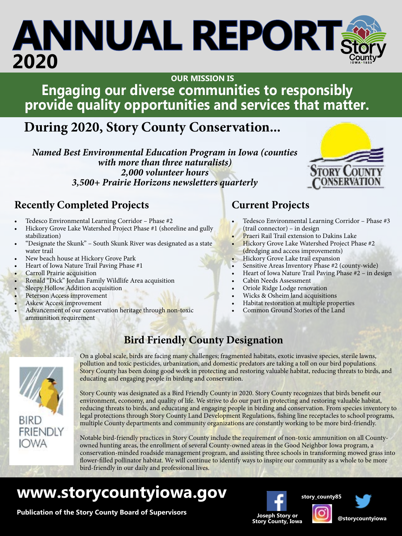#### iac to recnoncibly **Replacement Project**<br>Provises that methor **Engaging our diverse communities to responsibly provide quality opportunities and services that matter. OUR MISSION IS**

### **During 2020, Story County Conservation...**

*Named Best Environmental Education Program in Iowa (counties with more than three naturalists) 2,000 volunteer hours 3,500+ Prairie Horizons newsletters quarterly*

### **Recently Completed Projects**

- Tedesco Environmental Learning Corridor Phase #2
- Hickory Grove Lake Watershed Project Phase #1 (shoreline and gully stabilization)
- "Designate the Skunk" South Skunk River was designated as a state water trail
- New beach house at Hickory Grove Park
- Heart of Iowa Nature Trail Paving Phase #1
- **Carroll Prairie acquisition**
- Ronald "Dick" Jordan Family Wildlife Area acquisition
- Sleepy Hollow Addition acquisition
- Peterson Access improvement
- Askew Access improvement
- Advancement of our conservation heritage through non-toxic ammunition requirement

### **Current Projects**

- Tedesco Environmental Learning Corridor Phase #3 (trail connector) – in design
- Praeri Rail Trail extension to Dakins Lake
- Hickory Grove Lake Watershed Project Phase #2 (dredging and access improvements)
- Hickory Grove Lake trail expansion
- Sensitive Areas Inventory Phase #2 (county-wide)
- Heart of Iowa Nature Trail Paving Phase #2 in design
- Cabin Needs Assessment
- Oriole Ridge Lodge renovation
- Wicks & Osheim land acquisitions
- Habitat restoration at multiple properties
- Common Ground Stories of the Land



### **Bird Friendly County Designation**

On a global scale, birds are facing many challenges; fragmented habitats, exotic invasive species, sterile lawns, pollution and toxic pesticides, urbanization, and domestic predators are taking a toll on our bird populations. Story County has been doing good work in protecting and restoring valuable habitat, reducing threats to birds, and educating and engaging people in birding and conservation.

Story County was designated as a Bird Friendly County in 2020. Story County recognizes that birds benefit our environment, economy, and quality of life. We strive to do our part in protecting and restoring valuable habitat, reducing threats to birds, and educating and engaging people in birding and conservation. From species inventory to legal protections through Story County Land Development Regulations, fishing line receptacles to school programs, multiple County departments and community organizations are constantly working to be more bird-friendly.

Notable bird-friendly practices in Story County include the requirement of non-toxic ammunition on all Countyowned hunting areas, the enrollment of several County-owned areas in the Good Neighbor Iowa program, a conservation-minded roadside management program, and assisting three schools in transforming mowed grass into flower-filled pollinator habitat. We will continue to identify ways to inspire our community as a whole to be more bird-friendly in our daily and professional lives.

### **www.storycountyiowa.gov**

**Publication of the Story County Board of Supervisors**<br>Joseph Story or Story County, Iowa



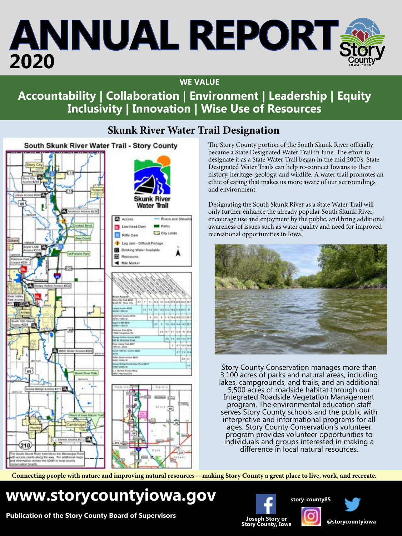### **WE VALUE**

### **Accountability | Collaboration | Environment | Leadership | Equity Inclusivity | Innovation | Wise Use of Resources**

### **Skunk River Water Trail Designation**

South Skunk River Water Trail - Story County



The Story County portion of the South Skunk River officially became a State Designated Water Trail in June. The effort to designate it as a State Water Trail began in the mid 2000's. State Designated Water Trails can help re-connect Iowans to their history, heritage, geology, and wildlife. A water trail promotes an ethic of caring that makes us more aware of our surroundings and environment.

Designating the South Skunk River as a State Water Trail will only further enhance the already popular South Skunk River, encourage use and enjoyment by the public, and bring additional awareness of issues such as water quality and need for improved recreational opportunities in Iowa.



Story County Conservation manages more than 3,100 acres of parks and natural areas, including lakes, campgrounds, and trails, and an additional 5,500 acres of roadside habitat through our Integrated Roadside Vegetation Management program. The environmental education staff serves Story County schools and the public with interpretive and informational programs for all ages. Story County Conservation's volunteer program provides volunteer opportunities to individuals and groups interested in making a difference in local natural resources.

**Connecting people with nature and improving natural resources -- making Story County a great place to live, work, and recreate.**

### **www.storycountyiowa.gov**

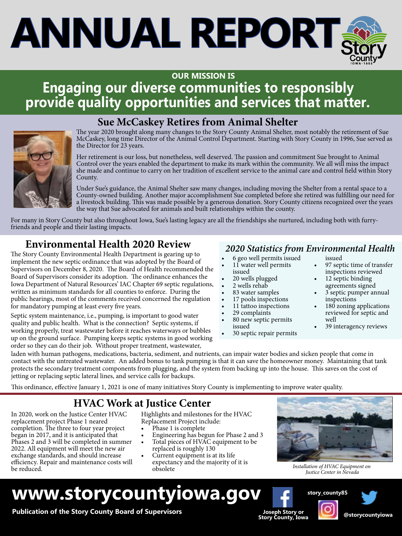### **OUR MISSION IS**

### **Justice Center HVAC Replacement Project**<br>Completed that <del>m</del>etter **Engaging our diverse communities to responsibly provide quality opportunities and services that matter.**



### **Sue McCaskey Retires from Animal Shelter**

The year 2020 brought along many changes to the Story County Animal Shelter, most notably the retirement of Sue McCaskey, long time Director of the Animal Control Department. Starting with Story County in 1996, Sue served as the Director for 23 years.

Her retirement is our loss, but nonetheless, well deserved. The passion and commitment Sue brought to Animal Control over the years enabled the department to make its mark within the community. We all will miss the impact she made and continue to carry on her tradition of excellent service to the animal care and control field within Story County.

Under Sue's guidance, the Animal Shelter saw many changes, including moving the Shelter from a rental space to a County-owned building. Another major accomplishment Sue completed before she retired was fulfilling our need for a livestock building. This was made possible by a generous donation. Story County citizens recognized over the years the way that Sue advocated for animals and built relationships within the county.

For many in Story County but also throughout Iowa, Sue's lasting legacy are all the friendships she nurtured, including both with furryfriends and people and their lasting impacts.

### *2020 Statistics from Environmental Health* **Environmental Health 2020 Review**

The Story County Environmental Health Department is gearing up to implement the new septic ordinance that was adopted by the Board of Supervisors on December 8, 2020. The Board of Health recommended the Board of Supervisors consider its adoption. The ordinance enhances the Iowa Department of Natural Resources' IAC Chapter 69 septic regulations, written as minimum standards for all counties to enforce. During the public hearings, most of the comments received concerned the regulation for mandatory pumping at least every five years.

Septic system maintenance, i.e., pumping, is important to good water quality and public health. What is the connection? Septic systems, if working properly, treat wastewater before it reaches waterways or bubbles up on the ground surface. Pumping keeps septic systems in good working order so they can do their job. Without proper treatment, wastewater,

- 6 geo well permits issued
- 11 water well permits issued
- 20 wells plugged
- 2 wells rehab
- 83 water samples
- 17 pools inspections
- 11 tattoo inspections
- 29 complaints
- 80 new septic permits issued
- 30 septic repair permits
- issued
- 97 septic time of transfer inspections reviewed
- 12 septic binding agreements signed
- 3 septic pumper annual inspections
- 180 zoning applications reviewed for septic and well
- 39 interagency reviews

laden with human pathogens, medications, bacteria, sediment, and nutrients, can impair water bodies and sicken people that come in contact with the untreated wastewater. An added bonus to tank pumping is that it can save the homeowner money. Maintaining that tank protects the secondary treatment components from plugging, and the system from backing up into the house. This saves on the cost of jetting or replacing septic lateral lines, and service calls for backups.

This ordinance, effective January 1, 2021 is one of many initiatives Story County is implementing to improve water quality.

### **HVAC Work at Justice Center**

In 2020, work on the Justice Center HVAC replacement project Phase 1 neared completion. The three to four year project began in 2017, and it is anticipated that Phases 2 and 3 will be completed in summer 2022. All equipment will meet the new air exchange standards, and should increase efficiency. Repair and maintenance costs will be reduced.

- Highlights and milestones for the HVAC Replacement Project include:
- Phase 1 is complete
- Engineering has begun for Phase 2 and 3
- Total pieces of HVAC equipment to be replaced is roughly 130
- Current equipment is at its life expectancy and the majority of it is obsolete



*Installation of HVAC Equipment on Justice Center in Nevada* 

### **www.storycountyiowa.gov**

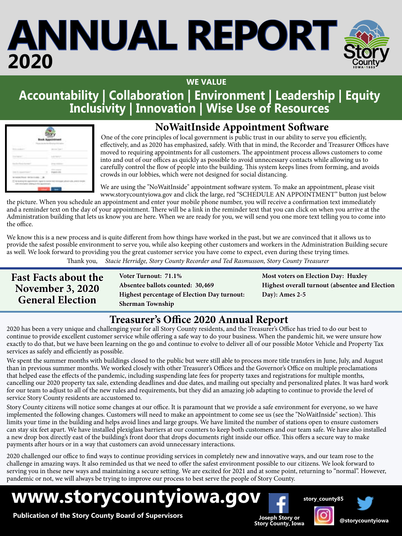

### **Accountability | Collaboration | Environment | Leadership | Equity Inclusivity | Innovation | Wise Use of Resources**

| a               | ۷<br>ł                  |
|-----------------|-------------------------|
| V.              | $\sim$<br>x<br>ł<br>a k |
|                 |                         |
| ł,              | <b>STEP</b>             |
| <b>ALCOHOL:</b> |                         |

### **NoWaitInside Appointment Software**

 One of the core principles of local government is public trust in our ability to serve you efficiently, effectively, and as 2020 has emphasized, safely. With that in mind, the Recorder and Treasurer Offices have moved to requiring appointments for all customers. The appointment process allows customers to come into and out of our offices as quickly as possible to avoid unnecessary contacts while allowing us to carefully control the flow of people into the building. This system keeps lines from forming, and avoids crowds in our lobbies, which were not designed for social distancing.

 We are using the "NoWaitInside" appointment software system. To make an appointment, please visit www.storycountyiowa.gov and click the large, red "SCHEDULE AN APPOINTMENT" button just below

the picture. When you schedule an appointment and enter your mobile phone number, you will receive a confirmation text immediately and a reminder text on the day of your appointment. There will be a link in the reminder text that you can click on when you arrive at the Administration building that lets us know you are here. When we are ready for you, we will send you one more text telling you to come into the office.

We know this is a new process and is quite different from how things have worked in the past, but we are convinced that it allows us to provide the safest possible environment to serve you, while also keeping other customers and workers in the Administration Building secure as well. We look forward to providing you the great customer service you have come to expect, even during these trying times. Thank you, *Stacie Herridge, Story County Recorder and Ted Rasmusson, Story County Treasurer*

| <b>Fast Facts about the</b>                        | Voter Turnout: 71.1%                               |  |
|----------------------------------------------------|----------------------------------------------------|--|
| <b>November 3, 2020</b><br><b>General Election</b> | Absentee ballots counted: 30,469                   |  |
|                                                    | <b>Highest percentage of Election Day turnout:</b> |  |
|                                                    | <b>Sherman Township</b>                            |  |

**Most voters on Election Day: Huxley Highest overall turnout (absentee and Election Day): Ames 2-5**

### **Treasurer's Office 2020 Annual Report**

2020 has been a very unique and challenging year for all Story County residents, and the Treasurer's Office has tried to do our best to continue to provide excellent customer service while offering a safe way to do your business. When the pandemic hit, we were unsure how exactly to do that, but we have been learning on the go and continue to evolve to deliver all of our possible Motor Vehicle and Property Tax services as safely and efficiently as possible.

We spent the summer months with buildings closed to the public but were still able to process more title transfers in June, July, and August than in previous summer months. We worked closely with other Treasurer's Offices and the Governor's Office on multiple proclamations that helped ease the effects of the pandemic, including suspending late fees for property taxes and registrations for multiple months, cancelling our 2020 property tax sale, extending deadlines and due dates, and mailing out specialty and personalized plates. It was hard work for our team to adjust to all of the new rules and requirements, but they did an amazing job adapting to continue to provide the level of service Story County residents are accustomed to.

Story County citizens will notice some changes at our office. It is paramount that we provide a safe environment for everyone, so we have implemented the following changes. Customers will need to make an appointment to come see us (see the "NoWaitInside" section). This limits your time in the building and helps avoid lines and large groups. We have limited the number of stations open to ensure customers can stay six feet apart. We have installed plexiglass barriers at our counters to keep both customers and our team safe. We have also installed a new drop box directly east of the building's front door that drops documents right inside our office. This offers a secure way to make payments after hours or in a way that customers can avoid unnecessary interactions.

2020 challenged our office to find ways to continue providing services in completely new and innovative ways, and our team rose to the challenge in amazing ways. It also reminded us that we need to offer the safest environment possible to our citizens. We look forward to serving you in these new ways and maintaining a secure setting. We are excited for 2021 and at some point, returning to "normal". However, pandemic or not, we will always be trying to improve our process to best serve the people of Story County.

**www.storycountyiowa.gov**